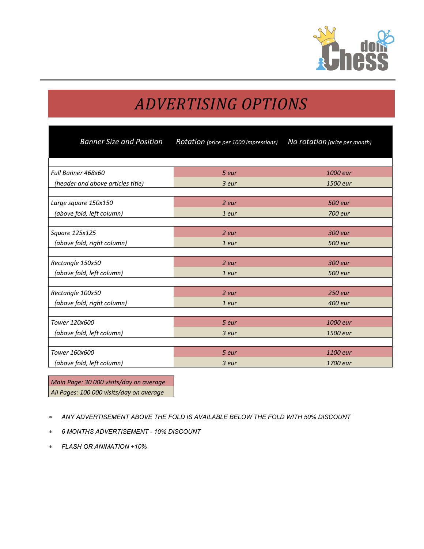

# *ADVERTISING OPTIONS*

| <b>Banner Size and Position</b>   | Rotation (price per 1000 impressions) | No rotation (prize per month) |
|-----------------------------------|---------------------------------------|-------------------------------|
|                                   |                                       |                               |
| Full Banner 468x60                | 5 eur                                 | 1000 eur                      |
| (header and above articles title) | 3 eur                                 | 1500 eur                      |
|                                   |                                       |                               |
| Large square 150x150              | 2 eur                                 | 500 eur                       |
| (above fold, left column)         | 1 eur                                 | 700 eur                       |
|                                   |                                       |                               |
| Square 125x125                    | 2 eur                                 | 300 eur                       |
| (above fold, right column)        | 1 eur                                 | 500 eur                       |
|                                   |                                       |                               |
| Rectangle 150x50                  | 2 eur                                 | 300 eur                       |
| (above fold, left column)         | 1 eur                                 | 500 eur                       |
|                                   |                                       |                               |
| Rectangle 100x50                  | 2 eur                                 | 250 eur                       |
| (above fold, right column)        | 1 eur                                 | 400 eur                       |
|                                   |                                       |                               |
| Tower 120x600                     | 5 eur                                 | 1000 eur                      |
| (above fold, left column)         | 3 eur                                 | 1500 eur                      |
|                                   |                                       |                               |
| Tower 160x600                     | 5 eur                                 | 1100 eur                      |
| (above fold, left column)         | 3 eur                                 | 1700 eur                      |

*Main Page: 30 000 visits/day on average All Pages: 100 000 visits/day on average*

- ∗ *ANY ADVERTISEMENT ABOVE THE FOLD IS AVAILABLE BELOW THE FOLD WITH 50% DISCOUNT*
- ∗ *6 MONTHS ADVERTISEMENT 10% DISCOUNT*
- ∗ *FLASH OR ANIMATION +10%*